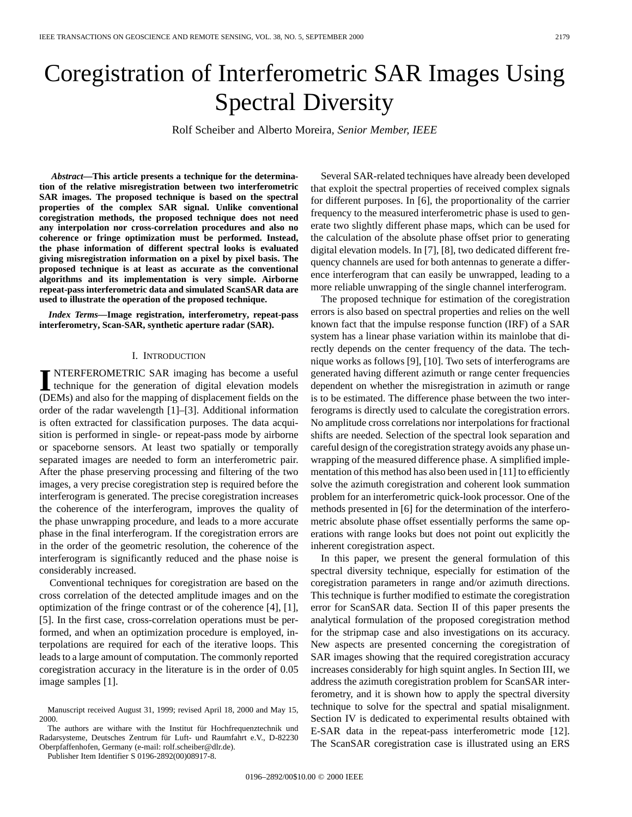# Coregistration of Interferometric SAR Images Using Spectral Diversity

Rolf Scheiber and Alberto Moreira*, Senior Member, IEEE*

*Abstract—***This article presents a technique for the determination of the relative misregistration between two interferometric SAR images. The proposed technique is based on the spectral properties of the complex SAR signal. Unlike conventional coregistration methods, the proposed technique does not need any interpolation nor cross-correlation procedures and also no coherence or fringe optimization must be performed. Instead, the phase information of different spectral looks is evaluated giving misregistration information on a pixel by pixel basis. The proposed technique is at least as accurate as the conventional algorithms and its implementation is very simple. Airborne repeat-pass interferometric data and simulated ScanSAR data are used to illustrate the operation of the proposed technique.**

*Index Terms—***Image registration, interferometry, repeat-pass interferometry, Scan-SAR, synthetic aperture radar (SAR).**

## I. INTRODUCTION

**I** NTERFEROMETRIC SAR imaging has become a useful<br>technique for the generation of digital elevation models<br>(NEMe) and also for the magning of digulatement fields on the (DEMs) and also for the mapping of displacement fields on the order of the radar wavelength [1]–[3]. Additional information is often extracted for classification purposes. The data acquisition is performed in single- or repeat-pass mode by airborne or spaceborne sensors. At least two spatially or temporally separated images are needed to form an interferometric pair. After the phase preserving processing and filtering of the two images, a very precise coregistration step is required before the interferogram is generated. The precise coregistration increases the coherence of the interferogram, improves the quality of the phase unwrapping procedure, and leads to a more accurate phase in the final interferogram. If the coregistration errors are in the order of the geometric resolution, the coherence of the interferogram is significantly reduced and the phase noise is considerably increased.

Conventional techniques for coregistration are based on the cross correlation of the detected amplitude images and on the optimization of the fringe contrast or of the coherence [4], [1], [5]. In the first case, cross-correlation operations must be performed, and when an optimization procedure is employed, interpolations are required for each of the iterative loops. This leads to a large amount of computation. The commonly reported coregistration accuracy in the literature is in the order of 0.05 image samples [1].

The authors are withare with the Institut für Hochfrequenztechnik und Radarsysteme, Deutsches Zentrum für Luft- und Raumfahrt e.V., D-82230 Oberpfaffenhofen, Germany (e-mail: rolf.scheiber@dlr.de).

Publisher Item Identifier S 0196-2892(00)08917-8.

Several SAR-related techniques have already been developed that exploit the spectral properties of received complex signals for different purposes. In [6], the proportionality of the carrier frequency to the measured interferometric phase is used to generate two slightly different phase maps, which can be used for the calculation of the absolute phase offset prior to generating digital elevation models. In [7], [8], two dedicated different frequency channels are used for both antennas to generate a difference interferogram that can easily be unwrapped, leading to a more reliable unwrapping of the single channel interferogram.

The proposed technique for estimation of the coregistration errors is also based on spectral properties and relies on the well known fact that the impulse response function (IRF) of a SAR system has a linear phase variation within its mainlobe that directly depends on the center frequency of the data. The technique works as follows [9], [10]. Two sets of interferograms are generated having different azimuth or range center frequencies dependent on whether the misregistration in azimuth or range is to be estimated. The difference phase between the two interferograms is directly used to calculate the coregistration errors. No amplitude cross correlations nor interpolations for fractional shifts are needed. Selection of the spectral look separation and careful design of the coregistration strategy avoids any phase unwrapping of the measured difference phase. A simplified implementation of this method has also been used in [11] to efficiently solve the azimuth coregistration and coherent look summation problem for an interferometric quick-look processor. One of the methods presented in [6] for the determination of the interferometric absolute phase offset essentially performs the same operations with range looks but does not point out explicitly the inherent coregistration aspect.

In this paper, we present the general formulation of this spectral diversity technique, especially for estimation of the coregistration parameters in range and/or azimuth directions. This technique is further modified to estimate the coregistration error for ScanSAR data. Section II of this paper presents the analytical formulation of the proposed coregistration method for the stripmap case and also investigations on its accuracy. New aspects are presented concerning the coregistration of SAR images showing that the required coregistration accuracy increases considerably for high squint angles. In Section III, we address the azimuth coregistration problem for ScanSAR interferometry, and it is shown how to apply the spectral diversity technique to solve for the spectral and spatial misalignment. Section IV is dedicated to experimental results obtained with E-SAR data in the repeat-pass interferometric mode [12]. The ScanSAR coregistration case is illustrated using an ERS

Manuscript received August 31, 1999; revised April 18, 2000 and May 15, 2000.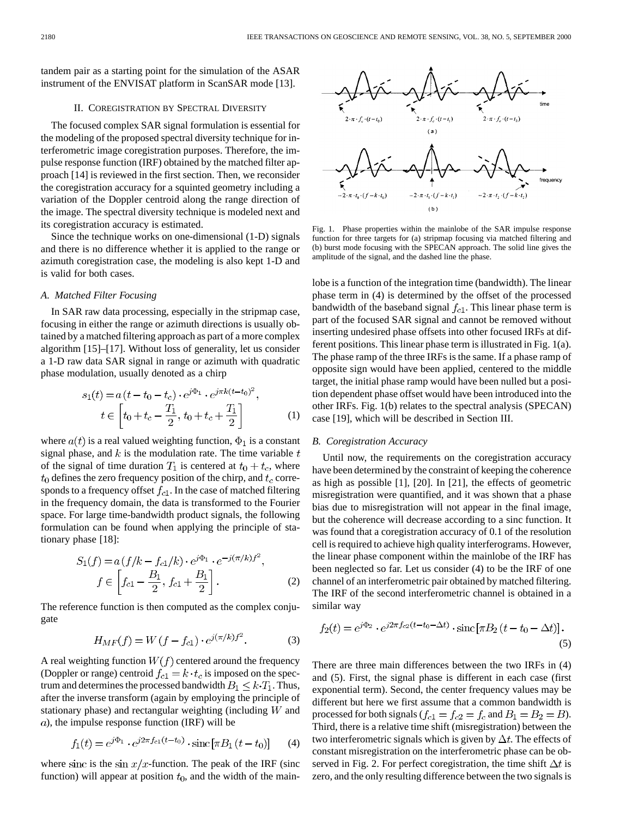tandem pair as a starting point for the simulation of the ASAR instrument of the ENVISAT platform in ScanSAR mode [13].

## II. COREGISTRATION BY SPECTRAL DIVERSITY

The focused complex SAR signal formulation is essential for the modeling of the proposed spectral diversity technique for interferometric image coregistration purposes. Therefore, the impulse response function (IRF) obtained by the matched filter approach [14] is reviewed in the first section. Then, we reconsider the coregistration accuracy for a squinted geometry including a variation of the Doppler centroid along the range direction of the image. The spectral diversity technique is modeled next and its coregistration accuracy is estimated.

Since the technique works on one-dimensional (1-D) signals and there is no difference whether it is applied to the range or azimuth coregistration case, the modeling is also kept 1-D and is valid for both cases.

# *A. Matched Filter Focusing*

In SAR raw data processing, especially in the stripmap case, focusing in either the range or azimuth directions is usually obtained by a matched filtering approach as part of a more complex algorithm [15]–[17]. Without loss of generality, let us consider a 1-D raw data SAR signal in range or azimuth with quadratic phase modulation, usually denoted as a chirp

$$
s_1(t) = a(t - t_0 - t_c) \cdot e^{j\Phi_1} \cdot e^{j\pi k (t - t_0)^2},
$$
  
\n
$$
t \in \left[ t_0 + t_c - \frac{T_1}{2}, t_0 + t_c + \frac{T_1}{2} \right]
$$
 (1)

where  $a(t)$  is a real valued weighting function,  $\Phi_1$  is a constant signal phase, and  $k$  is the modulation rate. The time variable  $t$ of the signal of time duration  $T_1$  is centered at  $t_0 + t_c$ , where  $t_0$  defines the zero frequency position of the chirp, and  $t_c$  corresponds to a frequency offset  $f_{c1}$ . In the case of matched filtering in the frequency domain, the data is transformed to the Fourier space. For large time-bandwidth product signals, the following formulation can be found when applying the principle of stationary phase [18]:

$$
S_1(f) = a(f/k - f_{c1}/k) \cdot e^{j\Phi_1} \cdot e^{-j(\pi/k)f^2},
$$
  

$$
f \in \left[f_{c1} - \frac{B_1}{2}, f_{c1} + \frac{B_1}{2}\right].
$$
 (2)

The reference function is then computed as the complex conjugate

$$
H_{MF}(f) = W(f - f_{c1}) \cdot e^{j(\pi/k)f^2}.
$$
 (3)

A real weighting function  $W(f)$  centered around the frequency (Doppler or range) centroid  $f_{c1} = k \cdot t_c$  is imposed on the spectrum and determines the processed bandwidth  $B_1 \leq k \cdot T_1$ . Thus, after the inverse transform (again by employing the principle of stationary phase) and rectangular weighting (including  $W$  and  $a$ ), the impulse response function (IRF) will be

$$
f_1(t) = e^{j\Phi_1} \cdot e^{j2\pi f_{c1}(t-t_0)} \cdot \text{sinc} \left[ \pi B_1 \left( t - t_0 \right) \right] \tag{4}
$$

where sinc is the  $\sin x/x$ -function. The peak of the IRF (sinc function) will appear at position  $t_0$ , and the width of the main-



Fig. 1. Phase properties within the mainlobe of the SAR impulse response function for three targets for (a) stripmap focusing via matched filtering and (b) burst mode focusing with the SPECAN approach. The solid line gives the amplitude of the signal, and the dashed line the phase.

lobe is a function of the integration time (bandwidth). The linear phase term in (4) is determined by the offset of the processed bandwidth of the baseband signal  $f_{c1}$ . This linear phase term is part of the focused SAR signal and cannot be removed without inserting undesired phase offsets into other focused IRFs at different positions. This linear phase term is illustrated in Fig. 1(a). The phase ramp of the three IRFs is the same. If a phase ramp of opposite sign would have been applied, centered to the middle target, the initial phase ramp would have been nulled but a position dependent phase offset would have been introduced into the other IRFs. Fig. 1(b) relates to the spectral analysis (SPECAN) case [19], which will be described in Section III.

# *B. Coregistration Accuracy*

Until now, the requirements on the coregistration accuracy have been determined by the constraint of keeping the coherence as high as possible [1], [20]. In [21], the effects of geometric misregistration were quantified, and it was shown that a phase bias due to misregistration will not appear in the final image, but the coherence will decrease according to a sinc function. It was found that a coregistration accuracy of 0.1 of the resolution cell is required to achieve high quality interferograms. However, the linear phase component within the mainlobe of the IRF has been neglected so far. Let us consider (4) to be the IRF of one channel of an interferometric pair obtained by matched filtering. The IRF of the second interferometric channel is obtained in a similar way

$$
f_2(t) = e^{j\Phi_2} \cdot e^{j2\pi f_{c2}(t - t_0 - \Delta t)} \cdot \text{sinc} \left[ \pi B_2 \left( t - t_0 - \Delta t \right) \right]. \tag{5}
$$

There are three main differences between the two IRFs in (4) and (5). First, the signal phase is different in each case (first exponential term). Second, the center frequency values may be different but here we first assume that a common bandwidth is processed for both signals ( $f_{c1} = f_{c2} = f_c$  and  $B_1 = B_2 = B$ ). Third, there is a relative time shift (misregistration) between the two interferometric signals which is given by  $\Delta t$ . The effects of constant misregistration on the interferometric phase can be observed in Fig. 2. For perfect coregistration, the time shift  $\Delta t$  is zero, and the only resulting difference between the two signals is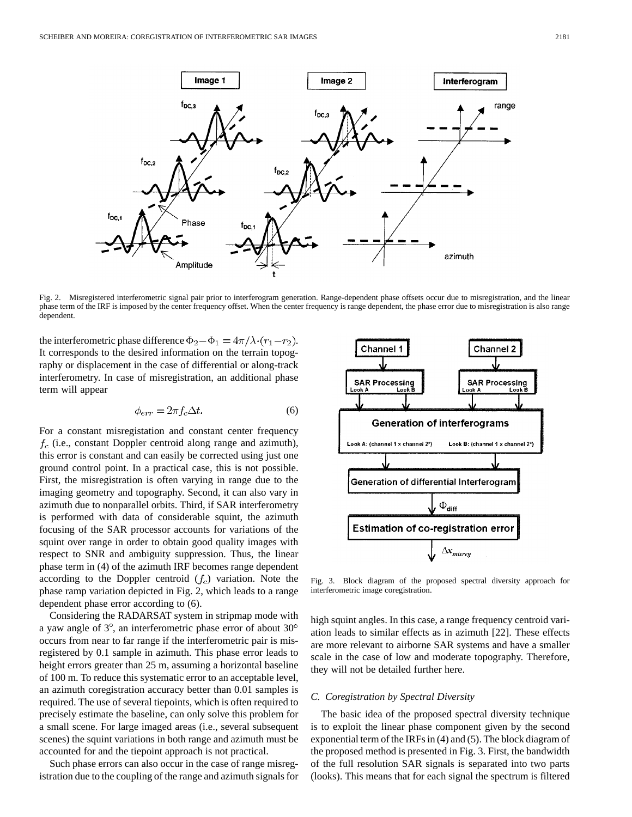

Fig. 2. Misregistered interferometric signal pair prior to interferogram generation. Range-dependent phase offsets occur due to misregistration, and the linear phase term of the IRF is imposed by the center frequency offset. When the center frequency is range dependent, the phase error due to misregistration is also range dependent.

the interferometric phase difference  $\Phi_2 - \Phi_1 = 4\pi/\lambda \cdot (r_1 - r_2)$ . It corresponds to the desired information on the terrain topography or displacement in the case of differential or along-track interferometry. In case of misregistration, an additional phase term will appear

$$
\phi_{err} = 2\pi f_c \Delta t. \tag{6}
$$

For a constant misregistation and constant center frequency  $f_c$  (i.e., constant Doppler centroid along range and azimuth), this error is constant and can easily be corrected using just one ground control point. In a practical case, this is not possible. First, the misregistration is often varying in range due to the imaging geometry and topography. Second, it can also vary in azimuth due to nonparallel orbits. Third, if SAR interferometry is performed with data of considerable squint, the azimuth focusing of the SAR processor accounts for variations of the squint over range in order to obtain good quality images with respect to SNR and ambiguity suppression. Thus, the linear phase term in (4) of the azimuth IRF becomes range dependent according to the Doppler centroid  $(f_c)$  variation. Note the phase ramp variation depicted in Fig. 2, which leads to a range dependent phase error according to (6).

Considering the RADARSAT system in stripmap mode with a yaw angle of  $3^\circ$ , an interferometric phase error of about  $30^\circ$ occurs from near to far range if the interferometric pair is misregistered by 0.1 sample in azimuth. This phase error leads to height errors greater than 25 m, assuming a horizontal baseline of 100 m. To reduce this systematic error to an acceptable level, an azimuth coregistration accuracy better than 0.01 samples is required. The use of several tiepoints, which is often required to precisely estimate the baseline, can only solve this problem for a small scene. For large imaged areas (i.e., several subsequent scenes) the squint variations in both range and azimuth must be accounted for and the tiepoint approach is not practical.

Such phase errors can also occur in the case of range misregistration due to the coupling of the range and azimuth signals for



Fig. 3. Block diagram of the proposed spectral diversity approach for interferometric image coregistration.

high squint angles. In this case, a range frequency centroid variation leads to similar effects as in azimuth [22]. These effects are more relevant to airborne SAR systems and have a smaller scale in the case of low and moderate topography. Therefore, they will not be detailed further here.

# *C. Coregistration by Spectral Diversity*

The basic idea of the proposed spectral diversity technique is to exploit the linear phase component given by the second exponential term of the IRFs in (4) and (5). The block diagram of the proposed method is presented in Fig. 3. First, the bandwidth of the full resolution SAR signals is separated into two parts (looks). This means that for each signal the spectrum is filtered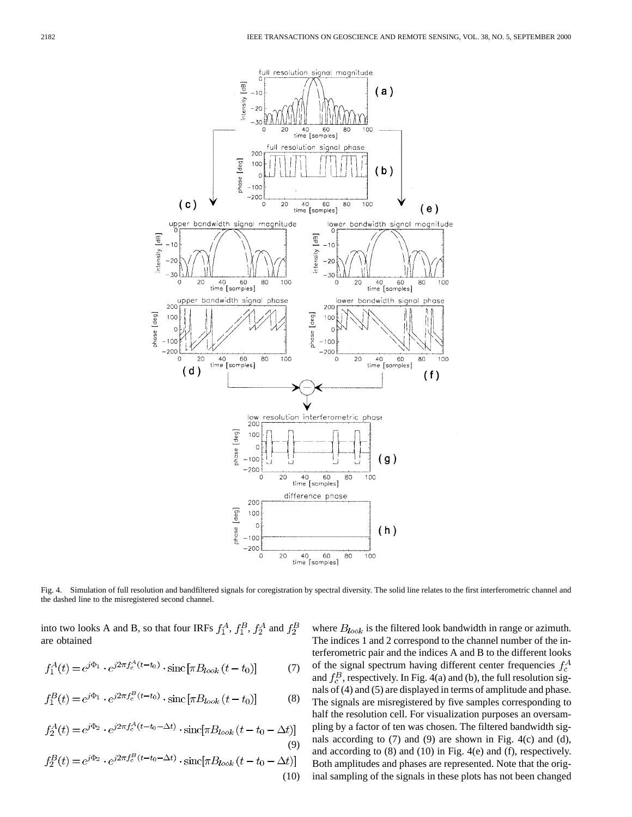

Fig. 4. Simulation of full resolution and bandfiltered signals for coregistration by spectral diversity. The solid line relates to the first interferometric channel and the dashed line to the misregistered second channel.

into two looks A and B, so that four IRFs  $f_1^A,\,f_1^B,\,f_2^A$  and  $f_2^B$ are obtained

$$
f_1^A(t) = e^{j\Phi_1} \cdot e^{j2\pi f_c^A(t - t_0)} \cdot \text{sinc} \left[ \pi B_{look} \left( t - t_0 \right) \right] \tag{7}
$$

$$
f_1^B(t) = e^{j\Phi_1} \cdot e^{j2\pi f_c^B(t-t_0)} \cdot \text{sinc} \left[ \pi B_{look} \left( t - t_0 \right) \right] \tag{8}
$$

$$
f_2^A(t) = e^{j\Phi_2} \cdot e^{j2\pi f_c^A(t - t_0 - \Delta t)} \cdot \text{sinc}[\pi B_{look}(t - t_0 - \Delta t)]
$$
\n(9)

$$
f_2^B(t) = e^{j\Phi_2} \cdot e^{j2\pi f_c^B(t - t_0 - \Delta t)} \cdot \text{sinc}[\pi B_{look} (t - t_0 - \Delta t)]
$$
\n(10)

where  $B_{look}$  is the filtered look bandwidth in range or azimuth. The indices 1 and 2 correspond to the channel number of the interferometric pair and the indices A and B to the different looks of the signal spectrum having different center frequencies  $f_c^A$ and  $f_c^B$ , respectively. In Fig. 4(a) and (b), the full resolution signals of (4) and (5) are displayed in terms of amplitude and phase. The signals are misregistered by five samples corresponding to half the resolution cell. For visualization purposes an oversampling by a factor of ten was chosen. The filtered bandwidth signals according to (7) and (9) are shown in Fig. 4(c) and (d), and according to (8) and (10) in Fig. 4(e) and (f), respectively. Both amplitudes and phases are represented. Note that the original sampling of the signals in these plots has not been changed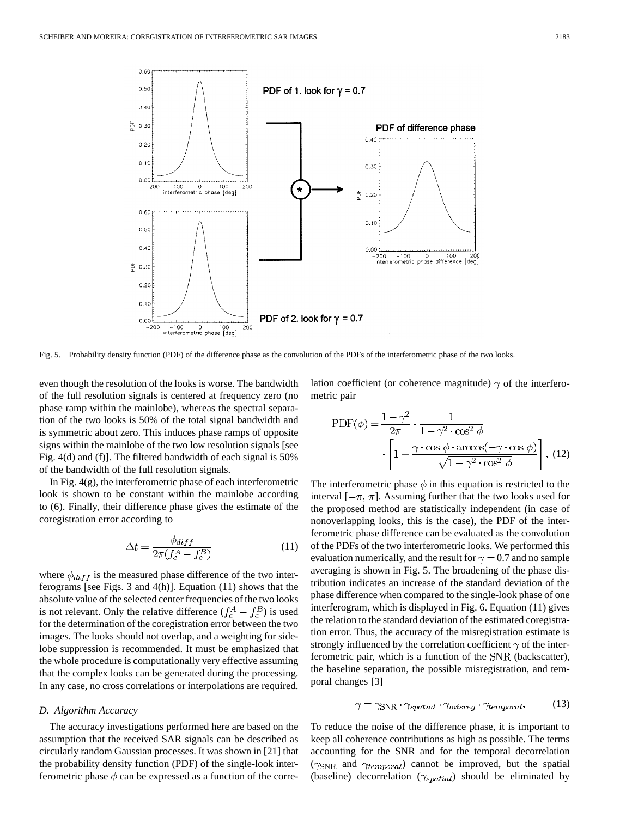

Fig. 5. Probability density function (PDF) of the difference phase as the convolution of the PDFs of the interferometric phase of the two looks.

even though the resolution of the looks is worse. The bandwidth of the full resolution signals is centered at frequency zero (no phase ramp within the mainlobe), whereas the spectral separation of the two looks is 50% of the total signal bandwidth and is symmetric about zero. This induces phase ramps of opposite signs within the mainlobe of the two low resolution signals [see Fig. 4(d) and (f)]. The filtered bandwidth of each signal is 50% of the bandwidth of the full resolution signals.

In Fig. 4(g), the interferometric phase of each interferometric look is shown to be constant within the mainlobe according to (6). Finally, their difference phase gives the estimate of the coregistration error according to

$$
\Delta t = \frac{\phi_{diff}}{2\pi (f_c^A - f_c^B)}\tag{11}
$$

where  $\phi_{diff}$  is the measured phase difference of the two interferograms [see Figs. 3 and 4(h)]. Equation (11) shows that the absolute value of the selected center frequencies of the two looks is not relevant. Only the relative difference  $(f_c^A - f_c^B)$  is used for the determination of the coregistration error between the two images. The looks should not overlap, and a weighting for sidelobe suppression is recommended. It must be emphasized that the whole procedure is computationally very effective assuming that the complex looks can be generated during the processing. In any case, no cross correlations or interpolations are required.

## *D. Algorithm Accuracy*

The accuracy investigations performed here are based on the assumption that the received SAR signals can be described as circularly random Gaussian processes. It was shown in [21] that the probability density function (PDF) of the single-look interferometric phase  $\phi$  can be expressed as a function of the correlation coefficient (or coherence magnitude)  $\gamma$  of the interferometric pair

$$
PDF(\phi) = \frac{1 - \gamma^2}{2\pi} \cdot \frac{1}{1 - \gamma^2 \cdot \cos^2 \phi}
$$

$$
\cdot \left[ 1 + \frac{\gamma \cdot \cos \phi \cdot \arccos(-\gamma \cdot \cos \phi)}{\sqrt{1 - \gamma^2 \cdot \cos^2 \phi}} \right]. (12)
$$

The interferometric phase  $\phi$  in this equation is restricted to the interval  $[-\pi, \pi]$ . Assuming further that the two looks used for the proposed method are statistically independent (in case of nonoverlapping looks, this is the case), the PDF of the interferometric phase difference can be evaluated as the convolution of the PDFs of the two interferometric looks. We performed this evaluation numerically, and the result for  $\gamma = 0.7$  and no sample averaging is shown in Fig. 5. The broadening of the phase distribution indicates an increase of the standard deviation of the phase difference when compared to the single-look phase of one interferogram, which is displayed in Fig. 6. Equation (11) gives the relation to the standard deviation of the estimated coregistration error. Thus, the accuracy of the misregistration estimate is strongly influenced by the correlation coefficient  $\gamma$  of the interferometric pair, which is a function of the SNR (backscatter), the baseline separation, the possible misregistration, and temporal changes [3]

$$
\gamma = \gamma_{\text{SNR}} \cdot \gamma_{spatial} \cdot \gamma_{misreg} \cdot \gamma_{temporal}. \tag{13}
$$

To reduce the noise of the difference phase, it is important to keep all coherence contributions as high as possible. The terms accounting for the SNR and for the temporal decorrelation  $(\gamma_{SNR}$  and  $\gamma_{temporal})$  cannot be improved, but the spatial (baseline) decorrelation  $(\gamma_{spatial})$  should be eliminated by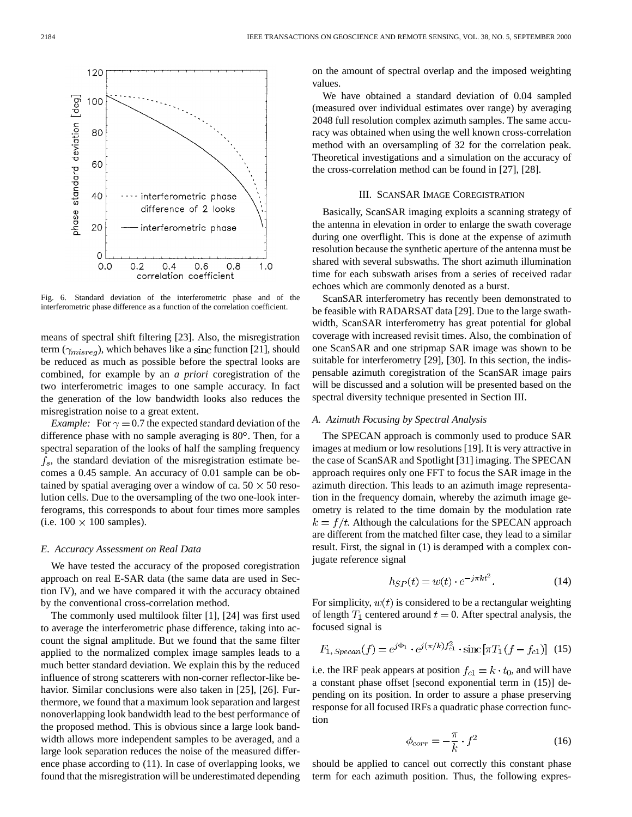

Fig. 6. Standard deviation of the interferometric phase and of the interferometric phase difference as a function of the correlation coefficient.

means of spectral shift filtering [23]. Also, the misregistration term ( $\gamma_{misreg}$ ), which behaves like a sinc function [21], should be reduced as much as possible before the spectral looks are combined, for example by an *a priori* coregistration of the two interferometric images to one sample accuracy. In fact the generation of the low bandwidth looks also reduces the misregistration noise to a great extent.

*Example:* For  $\gamma = 0.7$  the expected standard deviation of the difference phase with no sample averaging is  $80^\circ$ . Then, for a spectral separation of the looks of half the sampling frequency  $f_s$ , the standard deviation of the misregistration estimate becomes a 0.45 sample. An accuracy of 0.01 sample can be obtained by spatial averaging over a window of ca.  $50 \times 50$  resolution cells. Due to the oversampling of the two one-look interferograms, this corresponds to about four times more samples (i.e.  $100 \times 100$  samples).

## *E. Accuracy Assessment on Real Data*

We have tested the accuracy of the proposed coregistration approach on real E-SAR data (the same data are used in Section IV), and we have compared it with the accuracy obtained by the conventional cross-correlation method.

The commonly used multilook filter [1], [24] was first used to average the interferometric phase difference, taking into account the signal amplitude. But we found that the same filter applied to the normalized complex image samples leads to a much better standard deviation. We explain this by the reduced influence of strong scatterers with non-corner reflector-like behavior. Similar conclusions were also taken in [25], [26]. Furthermore, we found that a maximum look separation and largest nonoverlapping look bandwidth lead to the best performance of the proposed method. This is obvious since a large look bandwidth allows more independent samples to be averaged, and a large look separation reduces the noise of the measured difference phase according to (11). In case of overlapping looks, we found that the misregistration will be underestimated depending on the amount of spectral overlap and the imposed weighting values.

We have obtained a standard deviation of 0.04 sampled (measured over individual estimates over range) by averaging 2048 full resolution complex azimuth samples. The same accuracy was obtained when using the well known cross-correlation method with an oversampling of 32 for the correlation peak. Theoretical investigations and a simulation on the accuracy of the cross-correlation method can be found in [27], [28].

## III. SCANSAR IMAGE COREGISTRATION

Basically, ScanSAR imaging exploits a scanning strategy of the antenna in elevation in order to enlarge the swath coverage during one overflight. This is done at the expense of azimuth resolution because the synthetic aperture of the antenna must be shared with several subswaths. The short azimuth illumination time for each subswath arises from a series of received radar echoes which are commonly denoted as a burst.

ScanSAR interferometry has recently been demonstrated to be feasible with RADARSAT data [29]. Due to the large swathwidth, ScanSAR interferometry has great potential for global coverage with increased revisit times. Also, the combination of one ScanSAR and one stripmap SAR image was shown to be suitable for interferometry [29], [30]. In this section, the indispensable azimuth coregistration of the ScanSAR image pairs will be discussed and a solution will be presented based on the spectral diversity technique presented in Section III.

# *A. Azimuth Focusing by Spectral Analysis*

The SPECAN approach is commonly used to produce SAR images at medium or low resolutions [19]. It is very attractive in the case of ScanSAR and Spotlight [31] imaging. The SPECAN approach requires only one FFT to focus the SAR image in the azimuth direction. This leads to an azimuth image representation in the frequency domain, whereby the azimuth image geometry is related to the time domain by the modulation rate  $k = f/t$ . Although the calculations for the SPECAN approach are different from the matched filter case, they lead to a similar result. First, the signal in (1) is deramped with a complex conjugate reference signal

$$
h_{SP}(t) = w(t) \cdot e^{-j\pi kt^2}.
$$
 (14)

For simplicity,  $w(t)$  is considered to be a rectangular weighting of length  $T_1$  centered around  $t = 0$ . After spectral analysis, the focused signal is

$$
F_{1,Specan}(f) = e^{j\Phi_1} \cdot e^{j(\pi/k)f_{c1}^2} \cdot \text{sinc} \left[ \pi T_1 \left( f - f_{c1} \right) \right] \tag{15}
$$

i.e. the IRF peak appears at position  $f_{c1} = k \cdot t_0$ , and will have a constant phase offset [second exponential term in (15)] depending on its position. In order to assure a phase preserving response for all focused IRFs a quadratic phase correction function

$$
\phi_{corr} = -\frac{\pi}{k} \cdot f^2 \tag{16}
$$

should be applied to cancel out correctly this constant phase term for each azimuth position. Thus, the following expres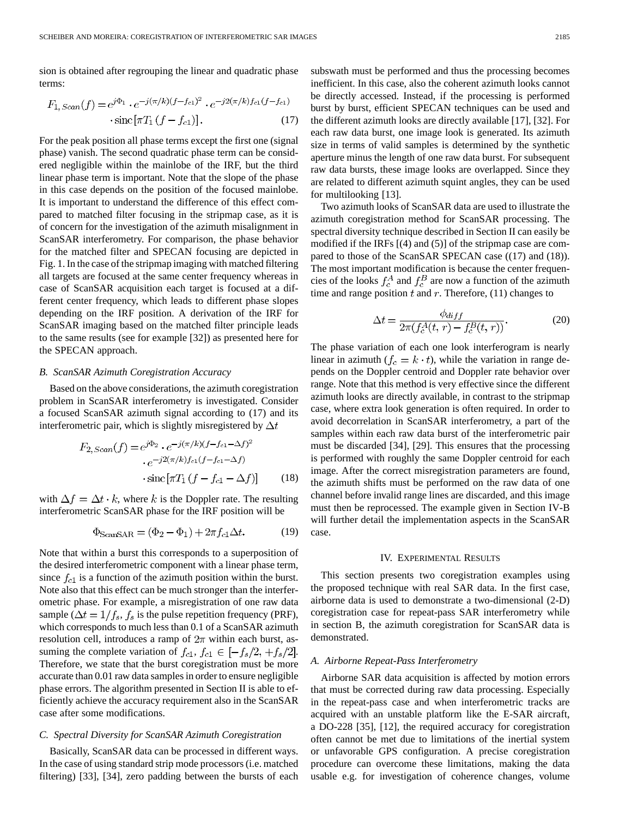sion is obtained after regrouping the linear and quadratic phase terms:

$$
F_{1,Scan}(f) = e^{j\Phi_1} \cdot e^{-j(\pi/k)(f - f_{c1})^2} \cdot e^{-j2(\pi/k)f_{c1}(f - f_{c1})}
$$
  
 
$$
\cdot \text{sinc}[\pi T_1(f - f_{c1})]. \tag{17}
$$

For the peak position all phase terms except the first one (signal phase) vanish. The second quadratic phase term can be considered negligible within the mainlobe of the IRF, but the third linear phase term is important. Note that the slope of the phase in this case depends on the position of the focused mainlobe. It is important to understand the difference of this effect compared to matched filter focusing in the stripmap case, as it is of concern for the investigation of the azimuth misalignment in ScanSAR interferometry. For comparison, the phase behavior for the matched filter and SPECAN focusing are depicted in Fig. 1. In the case of the stripmap imaging with matched filtering all targets are focused at the same center frequency whereas in case of ScanSAR acquisition each target is focused at a different center frequency, which leads to different phase slopes depending on the IRF position. A derivation of the IRF for ScanSAR imaging based on the matched filter principle leads to the same results (see for example [32]) as presented here for the SPECAN approach.

## *B. ScanSAR Azimuth Coregistration Accuracy*

Based on the above considerations, the azimuth coregistration problem in ScanSAR interferometry is investigated. Consider a focused ScanSAR azimuth signal according to (17) and its interferometric pair, which is slightly misregistered by  $\Delta t$ 

$$
F_{2,Scan}(f) = e^{j\Phi_2} \cdot e^{-j(\pi/k)(f - f_{c1} - \Delta f)^2}
$$

$$
\cdot e^{-j2(\pi/k)f_{c1}(f - f_{c1} - \Delta f)}
$$

$$
\cdot \text{sinc}[\pi T_1(f - f_{c1} - \Delta f)] \tag{18}
$$

with  $\Delta f = \Delta t \cdot k$ , where k is the Doppler rate. The resulting interferometric ScanSAR phase for the IRF position will be

$$
\Phi_{\text{ScanSAR}} = (\Phi_2 - \Phi_1) + 2\pi f_{c1} \Delta t. \tag{19}
$$

Note that within a burst this corresponds to a superposition of the desired interferometric component with a linear phase term, since  $f_{c1}$  is a function of the azimuth position within the burst. Note also that this effect can be much stronger than the interferometric phase. For example, a misregistration of one raw data sample ( $\Delta t = 1/f_s$ ,  $f_s$  is the pulse repetition frequency (PRF), which corresponds to much less than 0.1 of a ScanSAR azimuth resolution cell, introduces a ramp of  $2\pi$  within each burst, assuming the complete variation of  $f_{c1}$ ,  $f_{c1} \in [-f_s/2, +f_s/2]$ . Therefore, we state that the burst coregistration must be more accurate than 0.01 raw data samples in order to ensure negligible phase errors. The algorithm presented in Section II is able to efficiently achieve the accuracy requirement also in the ScanSAR case after some modifications.

## *C. Spectral Diversity for ScanSAR Azimuth Coregistration*

Basically, ScanSAR data can be processed in different ways. In the case of using standard strip mode processors (i.e. matched filtering) [33], [34], zero padding between the bursts of each subswath must be performed and thus the processing becomes inefficient. In this case, also the coherent azimuth looks cannot be directly accessed. Instead, if the processing is performed burst by burst, efficient SPECAN techniques can be used and the different azimuth looks are directly available [17], [32]. For each raw data burst, one image look is generated. Its azimuth size in terms of valid samples is determined by the synthetic aperture minus the length of one raw data burst. For subsequent raw data bursts, these image looks are overlapped. Since they are related to different azimuth squint angles, they can be used for multilooking [13].

Two azimuth looks of ScanSAR data are used to illustrate the azimuth coregistration method for ScanSAR processing. The spectral diversity technique described in Section II can easily be modified if the IRFs [(4) and (5)] of the stripmap case are compared to those of the ScanSAR SPECAN case ((17) and (18)). The most important modification is because the center frequencies of the looks  $f_c^A$  and  $f_c^B$  are now a function of the azimuth time and range position t and r. Therefore,  $(11)$  changes to

$$
\Delta t = \frac{\phi_{diff}}{2\pi (f_c^A(t, r) - f_c^B(t, r))}.
$$
\n(20)

The phase variation of each one look interferogram is nearly linear in azimuth ( $f_c = k \cdot t$ ), while the variation in range depends on the Doppler centroid and Doppler rate behavior over range. Note that this method is very effective since the different azimuth looks are directly available, in contrast to the stripmap case, where extra look generation is often required. In order to avoid decorrelation in ScanSAR interferometry, a part of the samples within each raw data burst of the interferometric pair must be discarded [34], [29]. This ensures that the processing is performed with roughly the same Doppler centroid for each image. After the correct misregistration parameters are found, the azimuth shifts must be performed on the raw data of one channel before invalid range lines are discarded, and this image must then be reprocessed. The example given in Section IV-B will further detail the implementation aspects in the ScanSAR case.

#### IV. EXPERIMENTAL RESULTS

This section presents two coregistration examples using the proposed technique with real SAR data. In the first case, airborne data is used to demonstrate a two-dimensional (2-D) coregistration case for repeat-pass SAR interferometry while in section B, the azimuth coregistration for ScanSAR data is demonstrated.

## *A. Airborne Repeat-Pass Interferometry*

Airborne SAR data acquisition is affected by motion errors that must be corrected during raw data processing. Especially in the repeat-pass case and when interferometric tracks are acquired with an unstable platform like the E-SAR aircraft, a DO-228 [35], [12], the required accuracy for coregistration often cannot be met due to limitations of the inertial system or unfavorable GPS configuration. A precise coregistration procedure can overcome these limitations, making the data usable e.g. for investigation of coherence changes, volume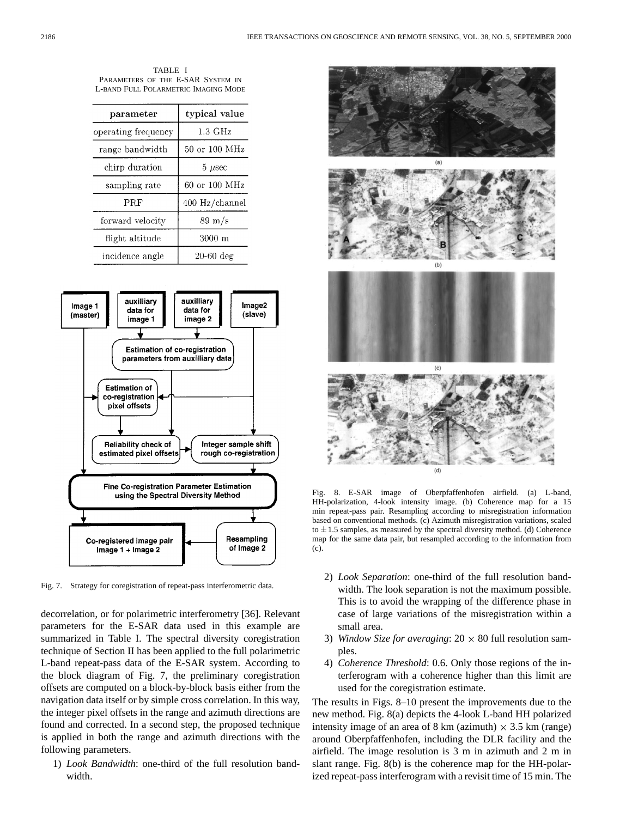TABLE I PARAMETERS OF THE E-SAR SYSTEM IN L-BAND FULL POLARMETRIC IMAGING MODE

| parameter           | typical value        |
|---------------------|----------------------|
| operating frequency | 1.3 GHz              |
| range bandwidth     | 50 or 100 MHz        |
| chirp duration      | $5~\mu{\rm sec}$     |
| sampling rate       | 60 or 100 MHz        |
| PRF                 | 400 Hz/channel       |
| forward velocity    | $89 \text{ m/s}$     |
| flight altitude     | $3000 \; \mathrm{m}$ |
| incidence angle     | $20-60$ deg          |



Fig. 7. Strategy for coregistration of repeat-pass interferometric data.

decorrelation, or for polarimetric interferometry [36]. Relevant parameters for the E-SAR data used in this example are summarized in Table I. The spectral diversity coregistration technique of Section II has been applied to the full polarimetric L-band repeat-pass data of the E-SAR system. According to the block diagram of Fig. 7, the preliminary coregistration offsets are computed on a block-by-block basis either from the navigation data itself or by simple cross correlation. In this way, the integer pixel offsets in the range and azimuth directions are found and corrected. In a second step, the proposed technique is applied in both the range and azimuth directions with the following parameters.

1) *Look Bandwidth*: one-third of the full resolution bandwidth.

 $(a)$  $(b)$  $(c)$  $(d)$ 

Fig. 8. E-SAR image of Oberpfaffenhofen airfield. (a) L-band, HH-polarization, 4-look intensity image. (b) Coherence map for a 15 min repeat-pass pair. Resampling according to misregistration information based on conventional methods. (c) Azimuth misregistration variations, scaled to  $\pm 1.5$  samples, as measured by the spectral diversity method. (d) Coherence map for the same data pair, but resampled according to the information from (c).

- 2) *Look Separation*: one-third of the full resolution bandwidth. The look separation is not the maximum possible. This is to avoid the wrapping of the difference phase in case of large variations of the misregistration within a small area.
- 3) *Window Size for averaging*:  $20 \times 80$  full resolution samples.
- 4) *Coherence Threshold*: 0.6. Only those regions of the interferogram with a coherence higher than this limit are used for the coregistration estimate.

The results in Figs. 8–10 present the improvements due to the new method. Fig. 8(a) depicts the 4-look L-band HH polarized intensity image of an area of 8 km (azimuth)  $\times$  3.5 km (range) around Oberpfaffenhofen, including the DLR facility and the airfield. The image resolution is 3 m in azimuth and 2 m in slant range. Fig. 8(b) is the coherence map for the HH-polarized repeat-pass interferogram with a revisit time of 15 min. The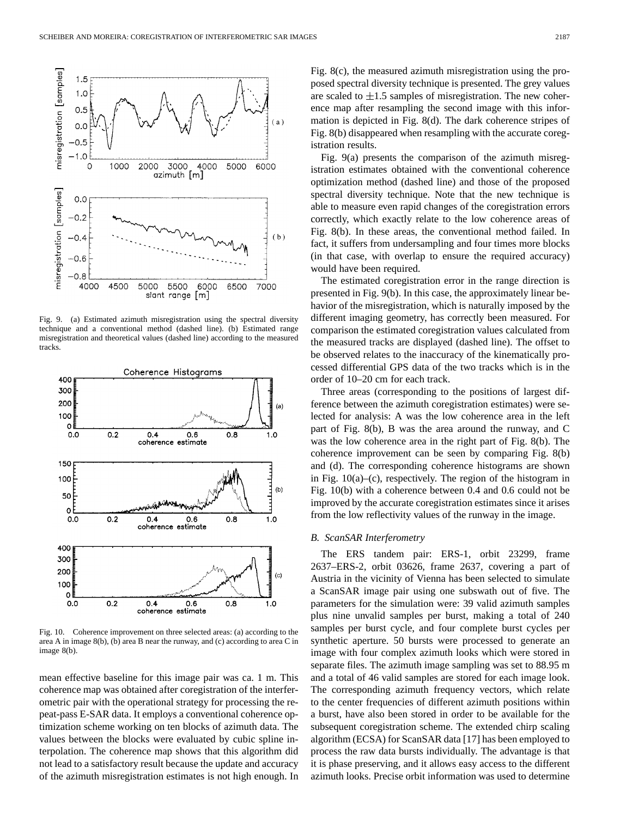

Fig. 9. (a) Estimated azimuth misregistration using the spectral diversity technique and a conventional method (dashed line). (b) Estimated range misregistration and theoretical values (dashed line) according to the measured tracks.



Fig. 10. Coherence improvement on three selected areas: (a) according to the area A in image 8(b), (b) area B near the runway, and (c) according to area C in image 8(b).

mean effective baseline for this image pair was ca. 1 m. This coherence map was obtained after coregistration of the interferometric pair with the operational strategy for processing the repeat-pass E-SAR data. It employs a conventional coherence optimization scheme working on ten blocks of azimuth data. The values between the blocks were evaluated by cubic spline interpolation. The coherence map shows that this algorithm did not lead to a satisfactory result because the update and accuracy of the azimuth misregistration estimates is not high enough. In Fig. 8(c), the measured azimuth misregistration using the proposed spectral diversity technique is presented. The grey values are scaled to  $\pm 1.5$  samples of misregistration. The new coherence map after resampling the second image with this information is depicted in Fig. 8(d). The dark coherence stripes of Fig. 8(b) disappeared when resampling with the accurate coregistration results.

Fig. 9(a) presents the comparison of the azimuth misregistration estimates obtained with the conventional coherence optimization method (dashed line) and those of the proposed spectral diversity technique. Note that the new technique is able to measure even rapid changes of the coregistration errors correctly, which exactly relate to the low coherence areas of Fig. 8(b). In these areas, the conventional method failed. In fact, it suffers from undersampling and four times more blocks (in that case, with overlap to ensure the required accuracy) would have been required.

The estimated coregistration error in the range direction is presented in Fig. 9(b). In this case, the approximately linear behavior of the misregistration, which is naturally imposed by the different imaging geometry, has correctly been measured. For comparison the estimated coregistration values calculated from the measured tracks are displayed (dashed line). The offset to be observed relates to the inaccuracy of the kinematically processed differential GPS data of the two tracks which is in the order of 10–20 cm for each track.

Three areas (corresponding to the positions of largest difference between the azimuth coregistration estimates) were selected for analysis: A was the low coherence area in the left part of Fig. 8(b), B was the area around the runway, and C was the low coherence area in the right part of Fig. 8(b). The coherence improvement can be seen by comparing Fig. 8(b) and (d). The corresponding coherence histograms are shown in Fig.  $10(a)$ –(c), respectively. The region of the histogram in Fig. 10(b) with a coherence between 0.4 and 0.6 could not be improved by the accurate coregistration estimates since it arises from the low reflectivity values of the runway in the image.

## *B. ScanSAR Interferometry*

The ERS tandem pair: ERS-1, orbit 23299, frame 2637–ERS-2, orbit 03626, frame 2637, covering a part of Austria in the vicinity of Vienna has been selected to simulate a ScanSAR image pair using one subswath out of five. The parameters for the simulation were: 39 valid azimuth samples plus nine unvalid samples per burst, making a total of 240 samples per burst cycle, and four complete burst cycles per synthetic aperture. 50 bursts were processed to generate an image with four complex azimuth looks which were stored in separate files. The azimuth image sampling was set to 88.95 m and a total of 46 valid samples are stored for each image look. The corresponding azimuth frequency vectors, which relate to the center frequencies of different azimuth positions within a burst, have also been stored in order to be available for the subsequent coregistration scheme. The extended chirp scaling algorithm (ECSA) for ScanSAR data [17] has been employed to process the raw data bursts individually. The advantage is that it is phase preserving, and it allows easy access to the different azimuth looks. Precise orbit information was used to determine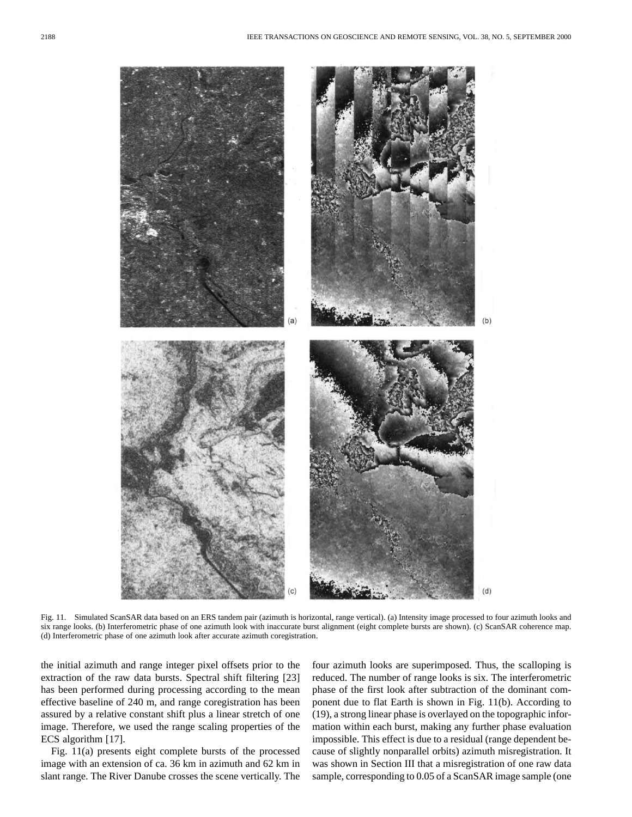

Fig. 11. Simulated ScanSAR data based on an ERS tandem pair (azimuth is horizontal, range vertical). (a) Intensity image processed to four azimuth looks and six range looks. (b) Interferometric phase of one azimuth look with inaccurate burst alignment (eight complete bursts are shown). (c) ScanSAR coherence map. (d) Interferometric phase of one azimuth look after accurate azimuth coregistration.

the initial azimuth and range integer pixel offsets prior to the extraction of the raw data bursts. Spectral shift filtering [23] has been performed during processing according to the mean effective baseline of 240 m, and range coregistration has been assured by a relative constant shift plus a linear stretch of one image. Therefore, we used the range scaling properties of the ECS algorithm [17].

Fig. 11(a) presents eight complete bursts of the processed image with an extension of ca. 36 km in azimuth and 62 km in slant range. The River Danube crosses the scene vertically. The four azimuth looks are superimposed. Thus, the scalloping is reduced. The number of range looks is six. The interferometric phase of the first look after subtraction of the dominant component due to flat Earth is shown in Fig. 11(b). According to (19), a strong linear phase is overlayed on the topographic information within each burst, making any further phase evaluation impossible. This effect is due to a residual (range dependent because of slightly nonparallel orbits) azimuth misregistration. It was shown in Section III that a misregistration of one raw data sample, corresponding to 0.05 of a ScanSAR image sample (one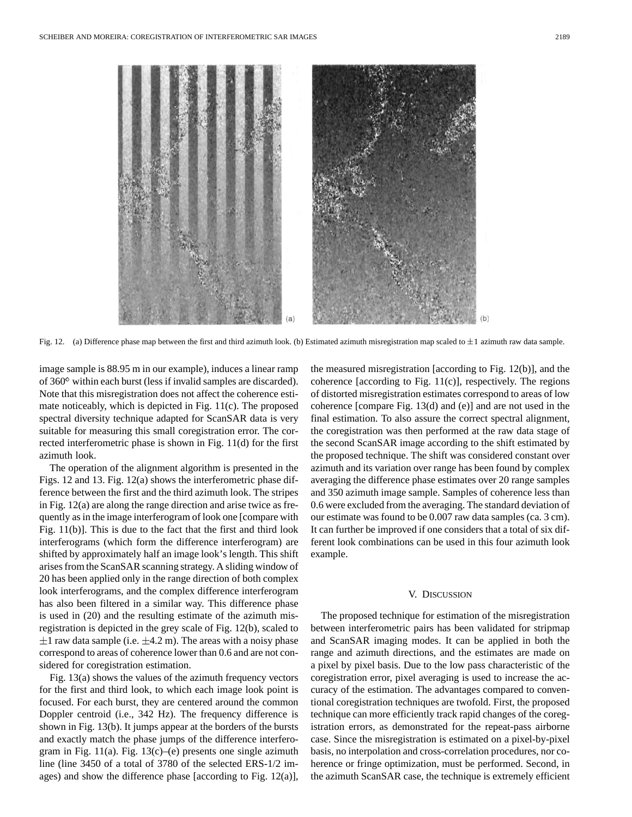

Fig. 12. (a) Difference phase map between the first and third azimuth look. (b) Estimated azimuth misregistration map scaled to  $\pm 1$  azimuth raw data sample.

image sample is 88.95 m in our example), induces a linear ramp of 360° within each burst (less if invalid samples are discarded). Note that this misregistration does not affect the coherence estimate noticeably, which is depicted in Fig. 11(c). The proposed spectral diversity technique adapted for ScanSAR data is very suitable for measuring this small coregistration error. The corrected interferometric phase is shown in Fig. 11(d) for the first azimuth look.

The operation of the alignment algorithm is presented in the Figs. 12 and 13. Fig. 12(a) shows the interferometric phase difference between the first and the third azimuth look. The stripes in Fig. 12(a) are along the range direction and arise twice as frequently as in the image interferogram of look one [compare with Fig. 11(b)]. This is due to the fact that the first and third look interferograms (which form the difference interferogram) are shifted by approximately half an image look's length. This shift arises from the ScanSAR scanning strategy. A sliding window of 20 has been applied only in the range direction of both complex look interferograms, and the complex difference interferogram has also been filtered in a similar way. This difference phase is used in (20) and the resulting estimate of the azimuth misregistration is depicted in the grey scale of Fig. 12(b), scaled to  $\pm 1$  raw data sample (i.e.  $\pm 4.2$  m). The areas with a noisy phase correspond to areas of coherence lower than 0.6 and are not considered for coregistration estimation.

Fig. 13(a) shows the values of the azimuth frequency vectors for the first and third look, to which each image look point is focused. For each burst, they are centered around the common Doppler centroid (i.e., 342 Hz). The frequency difference is shown in Fig. 13(b). It jumps appear at the borders of the bursts and exactly match the phase jumps of the difference interferogram in Fig.  $11(a)$ . Fig.  $13(c)$ –(e) presents one single azimuth line (line 3450 of a total of 3780 of the selected ERS-1/2 images) and show the difference phase [according to Fig. 12(a)], the measured misregistration [according to Fig. 12(b)], and the coherence [according to Fig.  $11(c)$ ], respectively. The regions of distorted misregistration estimates correspond to areas of low coherence [compare Fig. 13(d) and (e)] and are not used in the final estimation. To also assure the correct spectral alignment, the coregistration was then performed at the raw data stage of the second ScanSAR image according to the shift estimated by the proposed technique. The shift was considered constant over azimuth and its variation over range has been found by complex averaging the difference phase estimates over 20 range samples and 350 azimuth image sample. Samples of coherence less than 0.6 were excluded from the averaging. The standard deviation of our estimate was found to be 0.007 raw data samples (ca. 3 cm). It can further be improved if one considers that a total of six different look combinations can be used in this four azimuth look example.

# V. DISCUSSION

The proposed technique for estimation of the misregistration between interferometric pairs has been validated for stripmap and ScanSAR imaging modes. It can be applied in both the range and azimuth directions, and the estimates are made on a pixel by pixel basis. Due to the low pass characteristic of the coregistration error, pixel averaging is used to increase the accuracy of the estimation. The advantages compared to conventional coregistration techniques are twofold. First, the proposed technique can more efficiently track rapid changes of the coregistration errors, as demonstrated for the repeat-pass airborne case. Since the misregistration is estimated on a pixel-by-pixel basis, no interpolation and cross-correlation procedures, nor coherence or fringe optimization, must be performed. Second, in the azimuth ScanSAR case, the technique is extremely efficient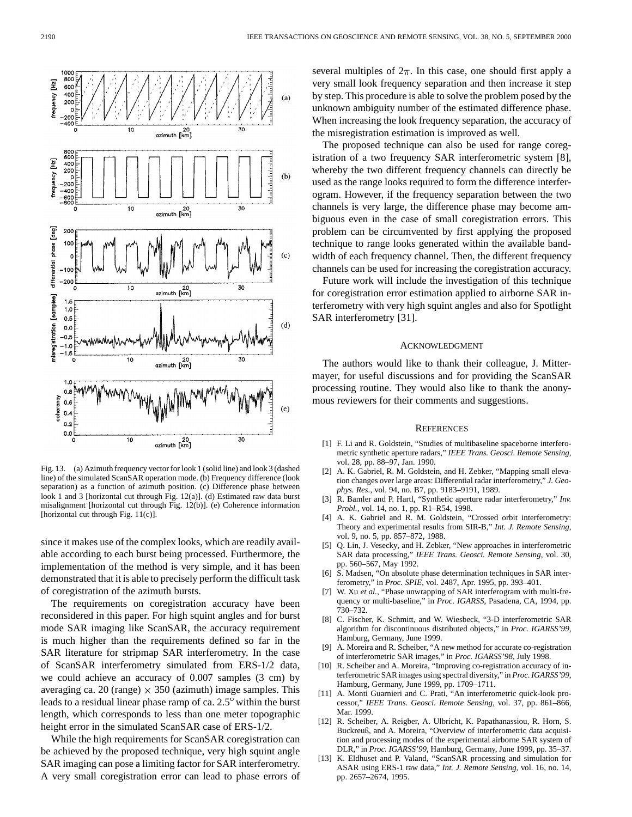

Fig. 13. (a) Azimuth frequency vector for look 1 (solid line) and look 3 (dashed line) of the simulated ScanSAR operation mode. (b) Frequency difference (look separation) as a function of azimuth position. (c) Difference phase between look 1 and 3 [horizontal cut through Fig. 12(a)]. (d) Estimated raw data burst misalignment [horizontal cut through Fig. 12(b)]. (e) Coherence information [horizontal cut through Fig. 11(c)].

since it makes use of the complex looks, which are readily available according to each burst being processed. Furthermore, the implementation of the method is very simple, and it has been demonstrated that it is able to precisely perform the difficult task of coregistration of the azimuth bursts.

The requirements on coregistration accuracy have been reconsidered in this paper. For high squint angles and for burst mode SAR imaging like ScanSAR, the accuracy requirement is much higher than the requirements defined so far in the SAR literature for stripmap SAR interferometry. In the case of ScanSAR interferometry simulated from ERS-1/2 data, we could achieve an accuracy of 0.007 samples (3 cm) by averaging ca. 20 (range)  $\times$  350 (azimuth) image samples. This leads to a residual linear phase ramp of ca.  $2.5^{\circ}$  within the burst length, which corresponds to less than one meter topographic height error in the simulated ScanSAR case of ERS-1/2.

While the high requirements for ScanSAR coregistration can be achieved by the proposed technique, very high squint angle SAR imaging can pose a limiting factor for SAR interferometry. A very small coregistration error can lead to phase errors of several multiples of  $2\pi$ . In this case, one should first apply a very small look frequency separation and then increase it step by step. This procedure is able to solve the problem posed by the unknown ambiguity number of the estimated difference phase. When increasing the look frequency separation, the accuracy of the misregistration estimation is improved as well.

The proposed technique can also be used for range coregistration of a two frequency SAR interferometric system [8], whereby the two different frequency channels can directly be used as the range looks required to form the difference interferogram. However, if the frequency separation between the two channels is very large, the difference phase may become ambiguous even in the case of small coregistration errors. This problem can be circumvented by first applying the proposed technique to range looks generated within the available bandwidth of each frequency channel. Then, the different frequency channels can be used for increasing the coregistration accuracy.

Future work will include the investigation of this technique for coregistration error estimation applied to airborne SAR interferometry with very high squint angles and also for Spotlight SAR interferometry [31].

# ACKNOWLEDGMENT

The authors would like to thank their colleague, J. Mittermayer, for useful discussions and for providing the ScanSAR processing routine. They would also like to thank the anonymous reviewers for their comments and suggestions.

## **REFERENCES**

- [1] F. Li and R. Goldstein, "Studies of multibaseline spaceborne interferometric synthetic aperture radars," *IEEE Trans. Geosci. Remote Sensing*, vol. 28, pp. 88–97, Jan. 1990.
- [2] A. K. Gabriel, R. M. Goldstein, and H. Zebker, "Mapping small elevation changes over large areas: Differential radar interferometry," *J. Geophys. Res.*, vol. 94, no. B7, pp. 9183–9191, 1989.
- [3] R. Bamler and P. Hartl, "Synthetic aperture radar interferometry," *Inv. Probl.*, vol. 14, no. 1, pp. R1–R54, 1998.
- [4] A. K. Gabriel and R. M. Goldstein, "Crossed orbit interferometry: Theory and experimental results from SIR-B," *Int. J. Remote Sensing*, vol. 9, no. 5, pp. 857–872, 1988.
- [5] Q. Lin, J. Vesecky, and H. Zebker, "New approaches in interferometric SAR data processing," *IEEE Trans. Geosci. Remote Sensing*, vol. 30, pp. 560–567, May 1992.
- [6] S. Madsen, "On absolute phase determination techniques in SAR interferometry," in *Proc. SPIE*, vol. 2487, Apr. 1995, pp. 393–401.
- [7] W. Xu *et al.*, "Phase unwrapping of SAR interferogram with multi-frequency or multi-baseline," in *Proc. IGARSS*, Pasadena, CA, 1994, pp. 730–732.
- [8] C. Fischer, K. Schmitt, and W. Wiesbeck, "3-D interferometric SAR algorithm for discontinuous distributed objects," in *Proc. IGARSS'99*, Hamburg, Germany, June 1999.
- [9] A. Moreira and R. Scheiber, "A new method for accurate co-registration of interferometric SAR images," in *Proc. IGARSS'98*, July 1998.
- [10] R. Scheiber and A. Moreira, "Improving co-registration accuracy of interferometric SAR images using spectral diversity," in *Proc. IGARSS'99*, Hamburg, Germany, June 1999, pp. 1709–1711.
- [11] A. Monti Guarnieri and C. Prati, "An interferometric quick-look processor," *IEEE Trans. Geosci. Remote Sensing*, vol. 37, pp. 861–866, Mar. 1999.
- [12] R. Scheiber, A. Reigber, A. Ulbricht, K. Papathanassiou, R. Horn, S. Buckreuß, and A. Moreira, "Overview of interferometric data acquisition and processing modes of the experimental airborne SAR system of DLR," in *Proc. IGARSS'99*, Hamburg, Germany, June 1999, pp. 35–37.
- [13] K. Eldhuset and P. Valand, "ScanSAR processing and simulation for ASAR using ERS-1 raw data," *Int. J. Remote Sensing*, vol. 16, no. 14, pp. 2657–2674, 1995.